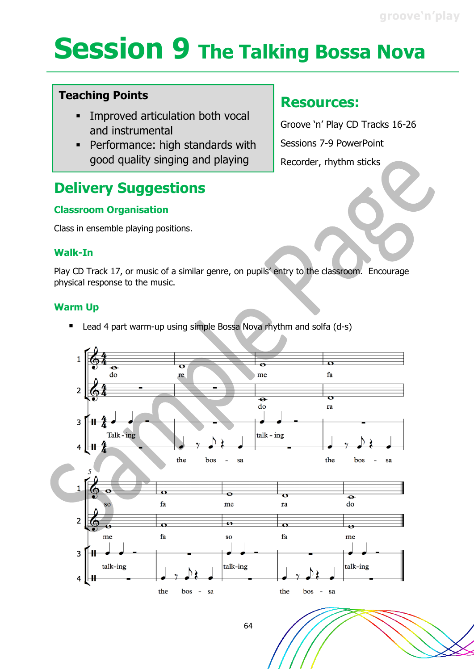# **Session 9 The Talking Bossa Nova**

## **Teaching Points**

- Improved articulation both vocal and instrumental
- **Performance: high standards with** good quality singing and playing

## **Delivery Suggestions**

## **Classroom Organisation**

Class in ensemble playing positions.

#### **Walk-In**

Play CD Track 17, or music of a similar genre, on pupils' entry to the classroom. Encourage physical response to the music.

## **Warm Up**

Lead 4 part warm-up using simple Bossa Nova rhythm and solfa (d-s)



## **Resources:**

Groove 'n' Play CD Tracks 16-26 Sessions 7-9 PowerPoint Recorder, rhythm sticks